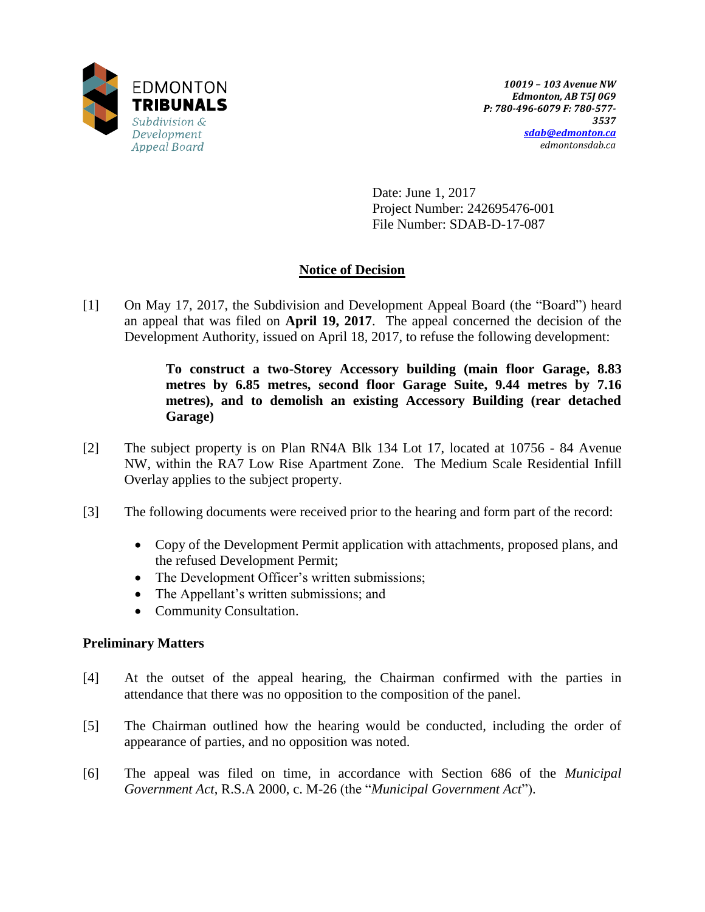

Date: June 1, 2017 Project Number: 242695476-001 File Number: SDAB-D-17-087

# **Notice of Decision**

[1] On May 17, 2017, the Subdivision and Development Appeal Board (the "Board") heard an appeal that was filed on **April 19, 2017**. The appeal concerned the decision of the Development Authority, issued on April 18, 2017, to refuse the following development:

> **To construct a two-Storey Accessory building (main floor Garage, 8.83 metres by 6.85 metres, second floor Garage Suite, 9.44 metres by 7.16 metres), and to demolish an existing Accessory Building (rear detached Garage)**

- [2] The subject property is on Plan RN4A Blk 134 Lot 17, located at 10756 84 Avenue NW, within the RA7 Low Rise Apartment Zone. The Medium Scale Residential Infill Overlay applies to the subject property.
- [3] The following documents were received prior to the hearing and form part of the record:
	- Copy of the Development Permit application with attachments, proposed plans, and the refused Development Permit;
	- The Development Officer's written submissions;
	- The Appellant's written submissions; and
	- Community Consultation.

## **Preliminary Matters**

- [4] At the outset of the appeal hearing, the Chairman confirmed with the parties in attendance that there was no opposition to the composition of the panel.
- [5] The Chairman outlined how the hearing would be conducted, including the order of appearance of parties, and no opposition was noted.
- [6] The appeal was filed on time, in accordance with Section 686 of the *Municipal Government Act*, R.S.A 2000, c. M-26 (the "*Municipal Government Act*").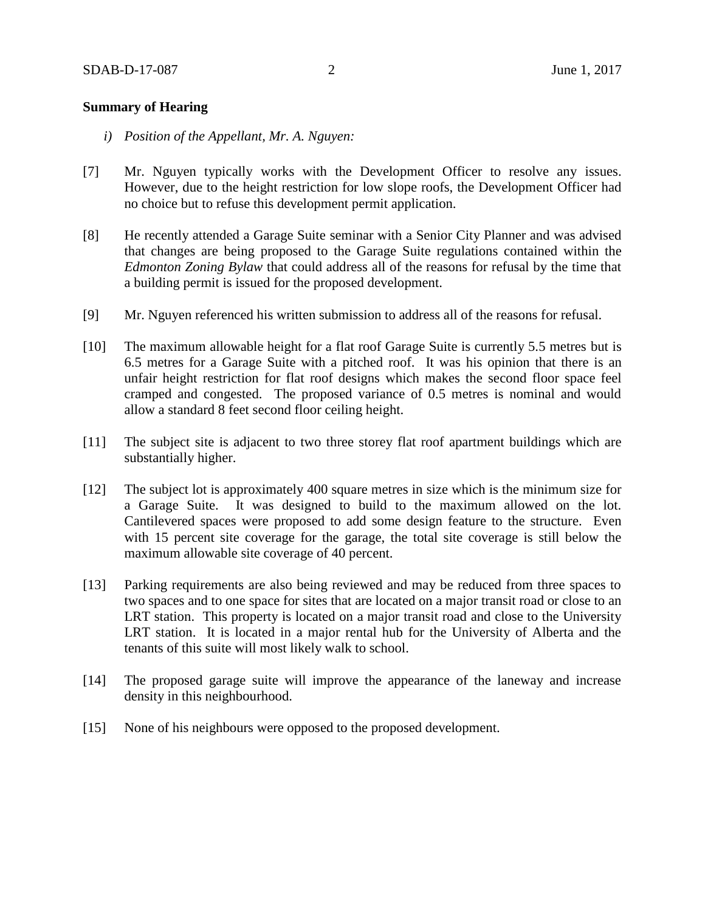### **Summary of Hearing**

- *i) Position of the Appellant, Mr. A. Nguyen:*
- [7] Mr. Nguyen typically works with the Development Officer to resolve any issues. However, due to the height restriction for low slope roofs, the Development Officer had no choice but to refuse this development permit application.
- [8] He recently attended a Garage Suite seminar with a Senior City Planner and was advised that changes are being proposed to the Garage Suite regulations contained within the *Edmonton Zoning Bylaw* that could address all of the reasons for refusal by the time that a building permit is issued for the proposed development.
- [9] Mr. Nguyen referenced his written submission to address all of the reasons for refusal.
- [10] The maximum allowable height for a flat roof Garage Suite is currently 5.5 metres but is 6.5 metres for a Garage Suite with a pitched roof. It was his opinion that there is an unfair height restriction for flat roof designs which makes the second floor space feel cramped and congested. The proposed variance of 0.5 metres is nominal and would allow a standard 8 feet second floor ceiling height.
- [11] The subject site is adjacent to two three storey flat roof apartment buildings which are substantially higher.
- [12] The subject lot is approximately 400 square metres in size which is the minimum size for a Garage Suite. It was designed to build to the maximum allowed on the lot. Cantilevered spaces were proposed to add some design feature to the structure. Even with 15 percent site coverage for the garage, the total site coverage is still below the maximum allowable site coverage of 40 percent.
- [13] Parking requirements are also being reviewed and may be reduced from three spaces to two spaces and to one space for sites that are located on a major transit road or close to an LRT station. This property is located on a major transit road and close to the University LRT station. It is located in a major rental hub for the University of Alberta and the tenants of this suite will most likely walk to school.
- [14] The proposed garage suite will improve the appearance of the laneway and increase density in this neighbourhood.
- [15] None of his neighbours were opposed to the proposed development.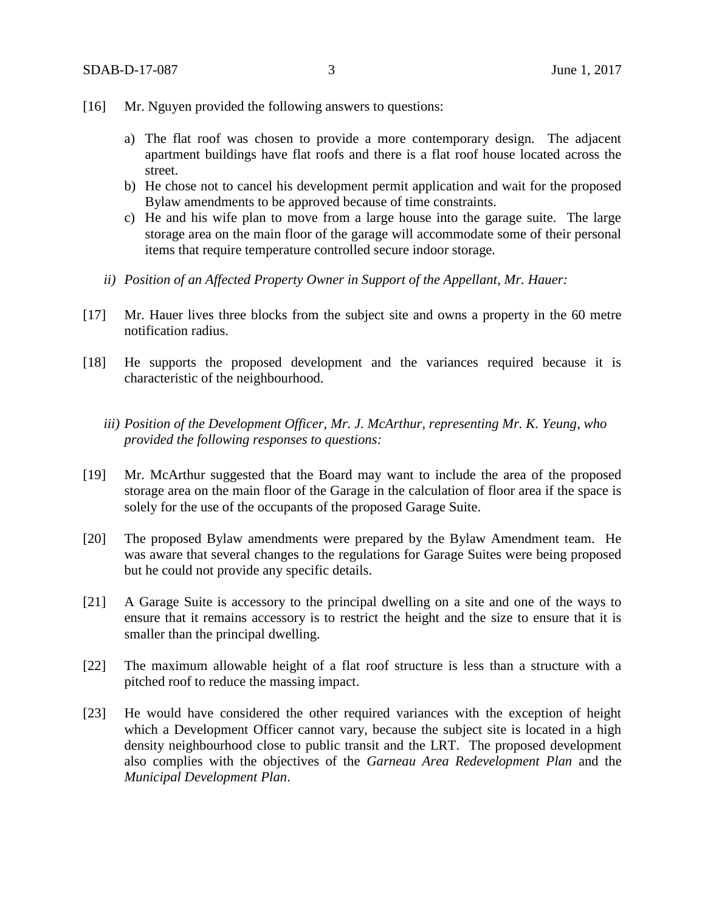- [16] Mr. Nguyen provided the following answers to questions:
	- a) The flat roof was chosen to provide a more contemporary design. The adjacent apartment buildings have flat roofs and there is a flat roof house located across the street.
	- b) He chose not to cancel his development permit application and wait for the proposed Bylaw amendments to be approved because of time constraints.
	- c) He and his wife plan to move from a large house into the garage suite. The large storage area on the main floor of the garage will accommodate some of their personal items that require temperature controlled secure indoor storage.
	- *ii) Position of an Affected Property Owner in Support of the Appellant, Mr. Hauer:*
- [17] Mr. Hauer lives three blocks from the subject site and owns a property in the 60 metre notification radius.
- [18] He supports the proposed development and the variances required because it is characteristic of the neighbourhood.
	- *iii) Position of the Development Officer, Mr. J. McArthur, representing Mr. K. Yeung, who provided the following responses to questions:*
- [19] Mr. McArthur suggested that the Board may want to include the area of the proposed storage area on the main floor of the Garage in the calculation of floor area if the space is solely for the use of the occupants of the proposed Garage Suite.
- [20] The proposed Bylaw amendments were prepared by the Bylaw Amendment team. He was aware that several changes to the regulations for Garage Suites were being proposed but he could not provide any specific details.
- [21] A Garage Suite is accessory to the principal dwelling on a site and one of the ways to ensure that it remains accessory is to restrict the height and the size to ensure that it is smaller than the principal dwelling.
- [22] The maximum allowable height of a flat roof structure is less than a structure with a pitched roof to reduce the massing impact.
- [23] He would have considered the other required variances with the exception of height which a Development Officer cannot vary, because the subject site is located in a high density neighbourhood close to public transit and the LRT. The proposed development also complies with the objectives of the *Garneau Area Redevelopment Plan* and the *Municipal Development Plan*.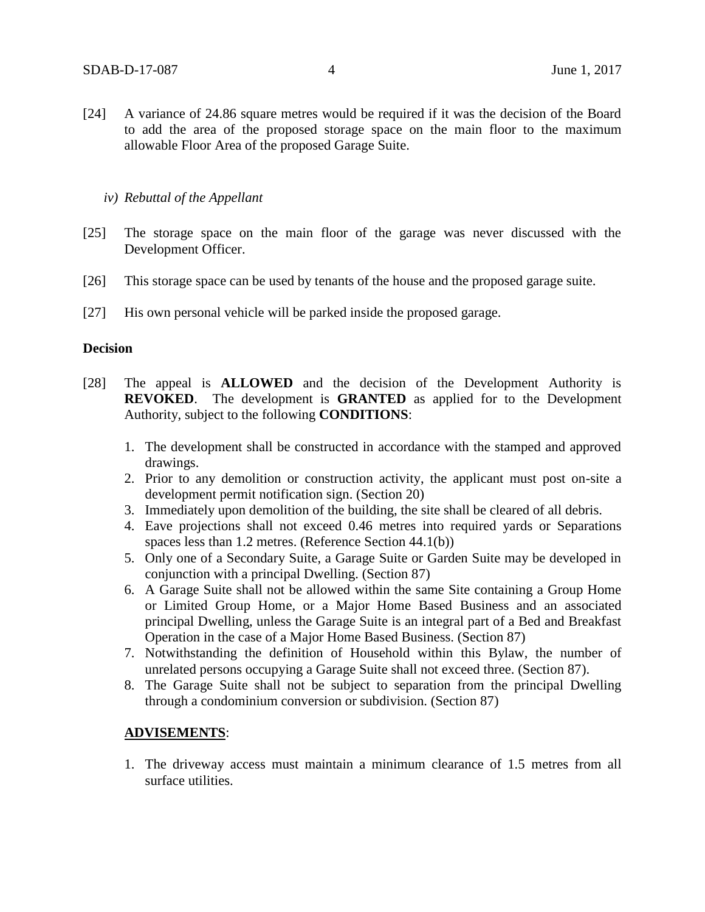[24] A variance of 24.86 square metres would be required if it was the decision of the Board to add the area of the proposed storage space on the main floor to the maximum allowable Floor Area of the proposed Garage Suite.

## *iv) Rebuttal of the Appellant*

- [25] The storage space on the main floor of the garage was never discussed with the Development Officer.
- [26] This storage space can be used by tenants of the house and the proposed garage suite.
- [27] His own personal vehicle will be parked inside the proposed garage.

### **Decision**

- [28] The appeal is **ALLOWED** and the decision of the Development Authority is **REVOKED**. The development is **GRANTED** as applied for to the Development Authority, subject to the following **CONDITIONS**:
	- 1. The development shall be constructed in accordance with the stamped and approved drawings.
	- 2. Prior to any demolition or construction activity, the applicant must post on-site a development permit notification sign. (Section 20)
	- 3. Immediately upon demolition of the building, the site shall be cleared of all debris.
	- 4. Eave projections shall not exceed 0.46 metres into required yards or Separations spaces less than 1.2 metres. (Reference Section 44.1(b))
	- 5. Only one of a Secondary Suite, a Garage Suite or Garden Suite may be developed in conjunction with a principal Dwelling. (Section 87)
	- 6. A Garage Suite shall not be allowed within the same Site containing a Group Home or Limited Group Home, or a Major Home Based Business and an associated principal Dwelling, unless the Garage Suite is an integral part of a Bed and Breakfast Operation in the case of a Major Home Based Business. (Section 87)
	- 7. Notwithstanding the definition of Household within this Bylaw, the number of unrelated persons occupying a Garage Suite shall not exceed three. (Section 87).
	- 8. The Garage Suite shall not be subject to separation from the principal Dwelling through a condominium conversion or subdivision. (Section 87)

## **ADVISEMENTS**:

1. The driveway access must maintain a minimum clearance of 1.5 metres from all surface utilities.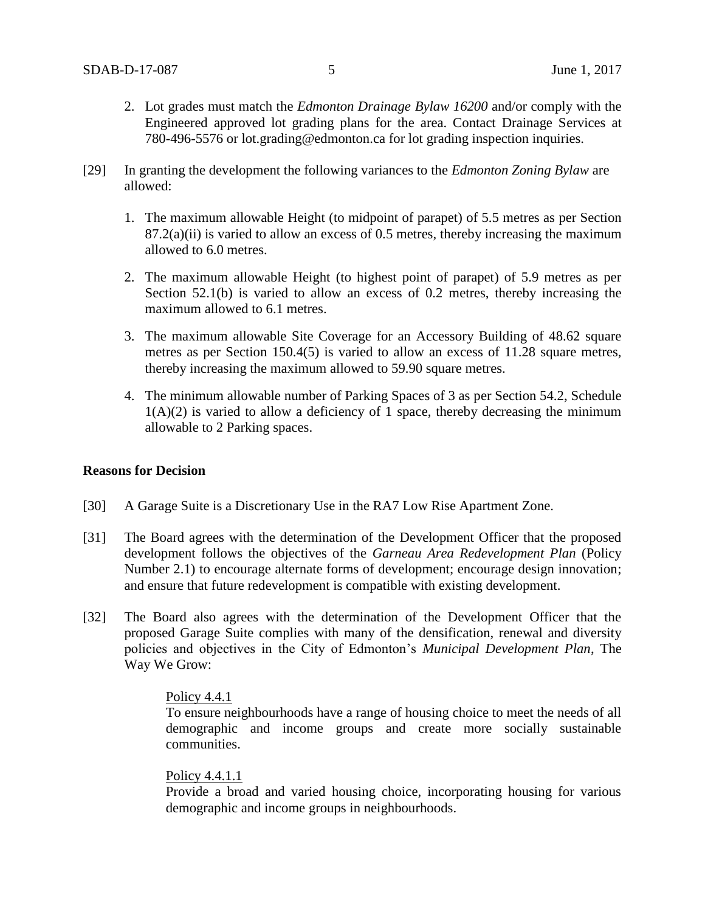- 2. Lot grades must match the *Edmonton Drainage Bylaw 16200* and/or comply with the Engineered approved lot grading plans for the area. Contact Drainage Services at 780-496-5576 or lot.grading@edmonton.ca for lot grading inspection inquiries.
- [29] In granting the development the following variances to the *Edmonton Zoning Bylaw* are allowed:
	- 1. The maximum allowable Height (to midpoint of parapet) of 5.5 metres as per Section  $87.2(a)(ii)$  is varied to allow an excess of 0.5 metres, thereby increasing the maximum allowed to 6.0 metres.
	- 2. The maximum allowable Height (to highest point of parapet) of 5.9 metres as per Section 52.1(b) is varied to allow an excess of 0.2 metres, thereby increasing the maximum allowed to 6.1 metres.
	- 3. The maximum allowable Site Coverage for an Accessory Building of 48.62 square metres as per Section 150.4(5) is varied to allow an excess of 11.28 square metres, thereby increasing the maximum allowed to 59.90 square metres.
	- 4. The minimum allowable number of Parking Spaces of 3 as per Section 54.2, Schedule  $1(A)(2)$  is varied to allow a deficiency of 1 space, thereby decreasing the minimum allowable to 2 Parking spaces.

## **Reasons for Decision**

- [30] A Garage Suite is a Discretionary Use in the RA7 Low Rise Apartment Zone.
- [31] The Board agrees with the determination of the Development Officer that the proposed development follows the objectives of the *Garneau Area Redevelopment Plan* (Policy Number 2.1) to encourage alternate forms of development; encourage design innovation; and ensure that future redevelopment is compatible with existing development.
- [32] The Board also agrees with the determination of the Development Officer that the proposed Garage Suite complies with many of the densification, renewal and diversity policies and objectives in the City of Edmonton's *Municipal Development Plan*, The Way We Grow:

### Policy 4.4.1

To ensure neighbourhoods have a range of housing choice to meet the needs of all demographic and income groups and create more socially sustainable communities.

### Policy 4.4.1.1

Provide a broad and varied housing choice, incorporating housing for various demographic and income groups in neighbourhoods.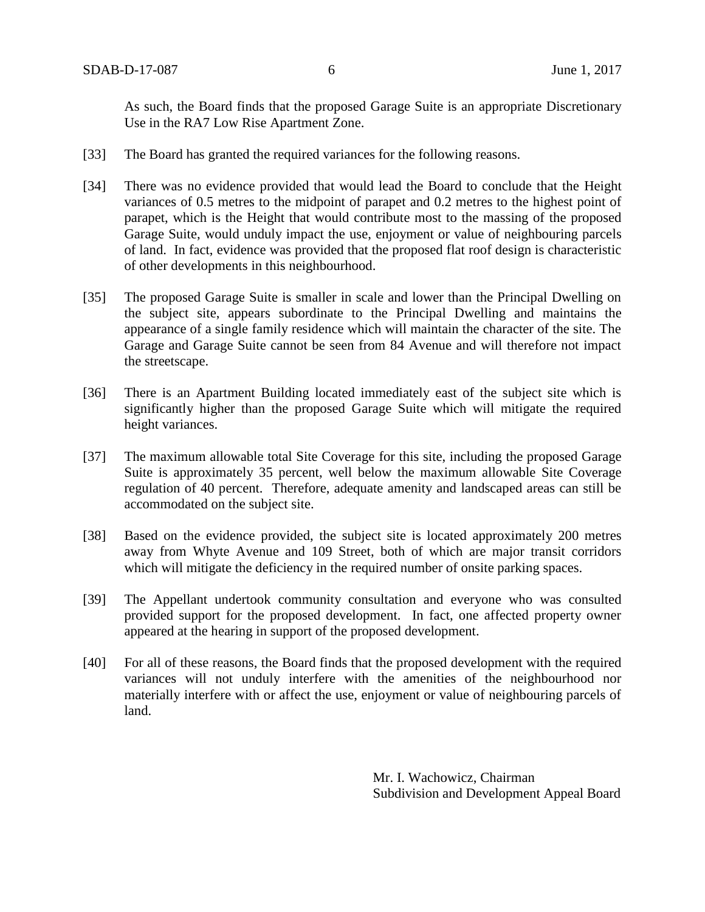As such, the Board finds that the proposed Garage Suite is an appropriate Discretionary Use in the RA7 Low Rise Apartment Zone.

- [33] The Board has granted the required variances for the following reasons.
- [34] There was no evidence provided that would lead the Board to conclude that the Height variances of 0.5 metres to the midpoint of parapet and 0.2 metres to the highest point of parapet, which is the Height that would contribute most to the massing of the proposed Garage Suite, would unduly impact the use, enjoyment or value of neighbouring parcels of land. In fact, evidence was provided that the proposed flat roof design is characteristic of other developments in this neighbourhood.
- [35] The proposed Garage Suite is smaller in scale and lower than the Principal Dwelling on the subject site, appears subordinate to the Principal Dwelling and maintains the appearance of a single family residence which will maintain the character of the site. The Garage and Garage Suite cannot be seen from 84 Avenue and will therefore not impact the streetscape.
- [36] There is an Apartment Building located immediately east of the subject site which is significantly higher than the proposed Garage Suite which will mitigate the required height variances.
- [37] The maximum allowable total Site Coverage for this site, including the proposed Garage Suite is approximately 35 percent, well below the maximum allowable Site Coverage regulation of 40 percent. Therefore, adequate amenity and landscaped areas can still be accommodated on the subject site.
- [38] Based on the evidence provided, the subject site is located approximately 200 metres away from Whyte Avenue and 109 Street, both of which are major transit corridors which will mitigate the deficiency in the required number of onsite parking spaces.
- [39] The Appellant undertook community consultation and everyone who was consulted provided support for the proposed development. In fact, one affected property owner appeared at the hearing in support of the proposed development.
- [40] For all of these reasons, the Board finds that the proposed development with the required variances will not unduly interfere with the amenities of the neighbourhood nor materially interfere with or affect the use, enjoyment or value of neighbouring parcels of land.

Mr. I. Wachowicz, Chairman Subdivision and Development Appeal Board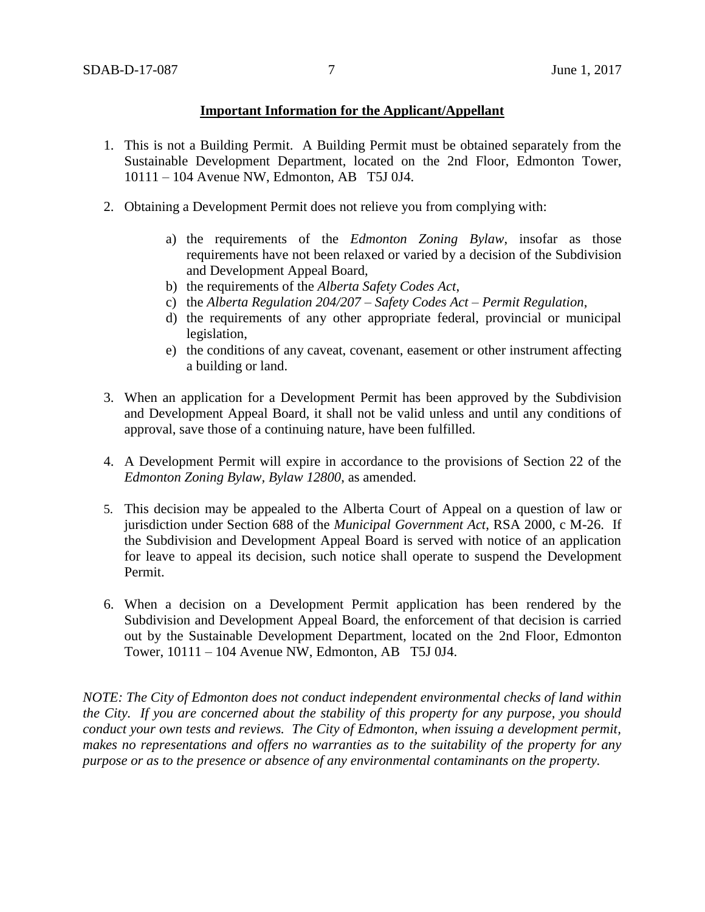## **Important Information for the Applicant/Appellant**

- 1. This is not a Building Permit. A Building Permit must be obtained separately from the Sustainable Development Department, located on the 2nd Floor, Edmonton Tower, 10111 – 104 Avenue NW, Edmonton, AB T5J 0J4.
- 2. Obtaining a Development Permit does not relieve you from complying with:
	- a) the requirements of the *Edmonton Zoning Bylaw*, insofar as those requirements have not been relaxed or varied by a decision of the Subdivision and Development Appeal Board,
	- b) the requirements of the *Alberta Safety Codes Act*,
	- c) the *Alberta Regulation 204/207 – Safety Codes Act – Permit Regulation*,
	- d) the requirements of any other appropriate federal, provincial or municipal legislation,
	- e) the conditions of any caveat, covenant, easement or other instrument affecting a building or land.
- 3. When an application for a Development Permit has been approved by the Subdivision and Development Appeal Board, it shall not be valid unless and until any conditions of approval, save those of a continuing nature, have been fulfilled.
- 4. A Development Permit will expire in accordance to the provisions of Section 22 of the *Edmonton Zoning Bylaw, Bylaw 12800*, as amended.
- 5. This decision may be appealed to the Alberta Court of Appeal on a question of law or jurisdiction under Section 688 of the *Municipal Government Act*, RSA 2000, c M-26. If the Subdivision and Development Appeal Board is served with notice of an application for leave to appeal its decision, such notice shall operate to suspend the Development Permit.
- 6. When a decision on a Development Permit application has been rendered by the Subdivision and Development Appeal Board, the enforcement of that decision is carried out by the Sustainable Development Department, located on the 2nd Floor, Edmonton Tower, 10111 – 104 Avenue NW, Edmonton, AB T5J 0J4.

*NOTE: The City of Edmonton does not conduct independent environmental checks of land within the City. If you are concerned about the stability of this property for any purpose, you should conduct your own tests and reviews. The City of Edmonton, when issuing a development permit, makes no representations and offers no warranties as to the suitability of the property for any purpose or as to the presence or absence of any environmental contaminants on the property.*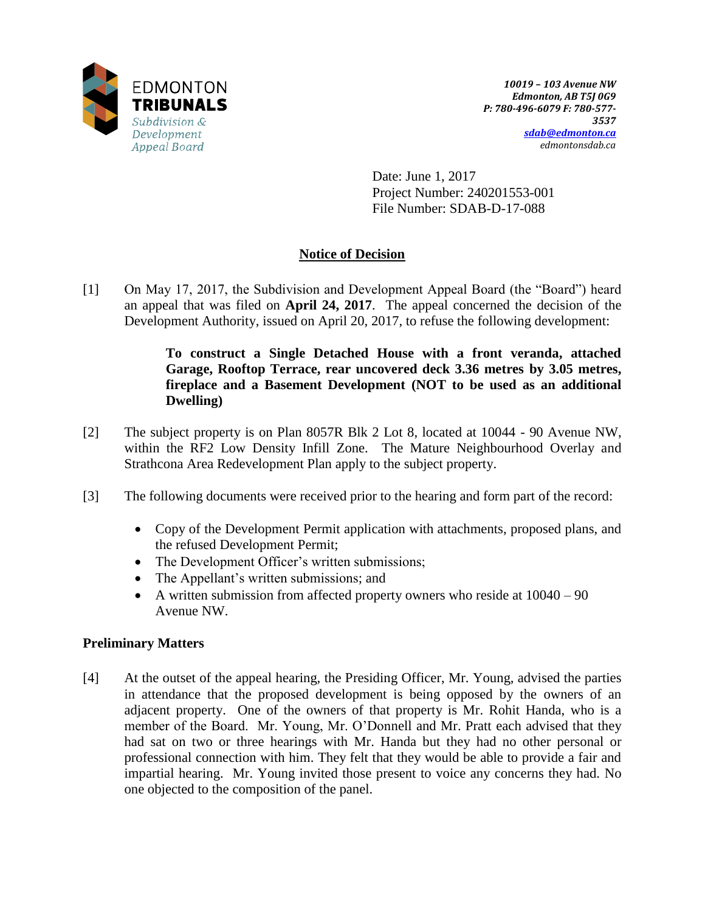

Date: June 1, 2017 Project Number: 240201553-001 File Number: SDAB-D-17-088

# **Notice of Decision**

[1] On May 17, 2017, the Subdivision and Development Appeal Board (the "Board") heard an appeal that was filed on **April 24, 2017**. The appeal concerned the decision of the Development Authority, issued on April 20, 2017, to refuse the following development:

## **To construct a Single Detached House with a front veranda, attached Garage, Rooftop Terrace, rear uncovered deck 3.36 metres by 3.05 metres, fireplace and a Basement Development (NOT to be used as an additional Dwelling)**

- [2] The subject property is on Plan 8057R Blk 2 Lot 8, located at 10044 90 Avenue NW, within the RF2 Low Density Infill Zone. The Mature Neighbourhood Overlay and Strathcona Area Redevelopment Plan apply to the subject property.
- [3] The following documents were received prior to the hearing and form part of the record:
	- Copy of the Development Permit application with attachments, proposed plans, and the refused Development Permit;
	- The Development Officer's written submissions;
	- The Appellant's written submissions; and
	- A written submission from affected property owners who reside at  $10040 90$ Avenue NW.

# **Preliminary Matters**

[4] At the outset of the appeal hearing, the Presiding Officer, Mr. Young, advised the parties in attendance that the proposed development is being opposed by the owners of an adjacent property. One of the owners of that property is Mr. Rohit Handa, who is a member of the Board. Mr. Young, Mr. O'Donnell and Mr. Pratt each advised that they had sat on two or three hearings with Mr. Handa but they had no other personal or professional connection with him. They felt that they would be able to provide a fair and impartial hearing. Mr. Young invited those present to voice any concerns they had. No one objected to the composition of the panel.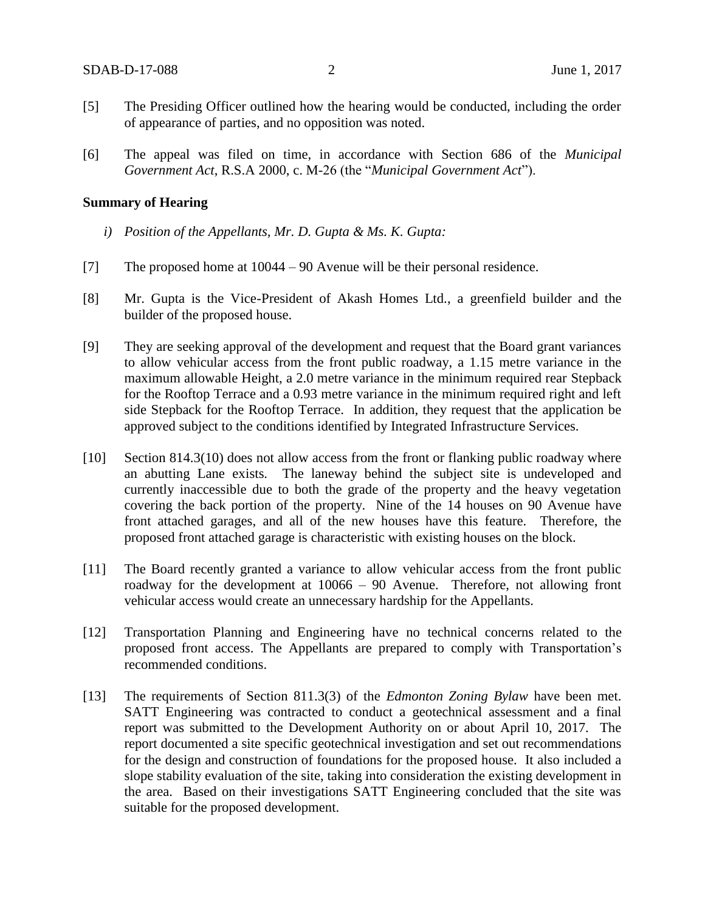- [5] The Presiding Officer outlined how the hearing would be conducted, including the order of appearance of parties, and no opposition was noted.
- [6] The appeal was filed on time, in accordance with Section 686 of the *Municipal Government Act*, R.S.A 2000, c. M-26 (the "*Municipal Government Act*").

#### **Summary of Hearing**

- *i) Position of the Appellants, Mr. D. Gupta & Ms. K. Gupta:*
- [7] The proposed home at 10044 90 Avenue will be their personal residence.
- [8] Mr. Gupta is the Vice-President of Akash Homes Ltd., a greenfield builder and the builder of the proposed house.
- [9] They are seeking approval of the development and request that the Board grant variances to allow vehicular access from the front public roadway, a 1.15 metre variance in the maximum allowable Height, a 2.0 metre variance in the minimum required rear Stepback for the Rooftop Terrace and a 0.93 metre variance in the minimum required right and left side Stepback for the Rooftop Terrace. In addition, they request that the application be approved subject to the conditions identified by Integrated Infrastructure Services.
- [10] Section 814.3(10) does not allow access from the front or flanking public roadway where an abutting Lane exists. The laneway behind the subject site is undeveloped and currently inaccessible due to both the grade of the property and the heavy vegetation covering the back portion of the property. Nine of the 14 houses on 90 Avenue have front attached garages, and all of the new houses have this feature. Therefore, the proposed front attached garage is characteristic with existing houses on the block.
- [11] The Board recently granted a variance to allow vehicular access from the front public roadway for the development at 10066 – 90 Avenue. Therefore, not allowing front vehicular access would create an unnecessary hardship for the Appellants.
- [12] Transportation Planning and Engineering have no technical concerns related to the proposed front access. The Appellants are prepared to comply with Transportation's recommended conditions.
- [13] The requirements of Section 811.3(3) of the *Edmonton Zoning Bylaw* have been met. SATT Engineering was contracted to conduct a geotechnical assessment and a final report was submitted to the Development Authority on or about April 10, 2017. The report documented a site specific geotechnical investigation and set out recommendations for the design and construction of foundations for the proposed house. It also included a slope stability evaluation of the site, taking into consideration the existing development in the area. Based on their investigations SATT Engineering concluded that the site was suitable for the proposed development.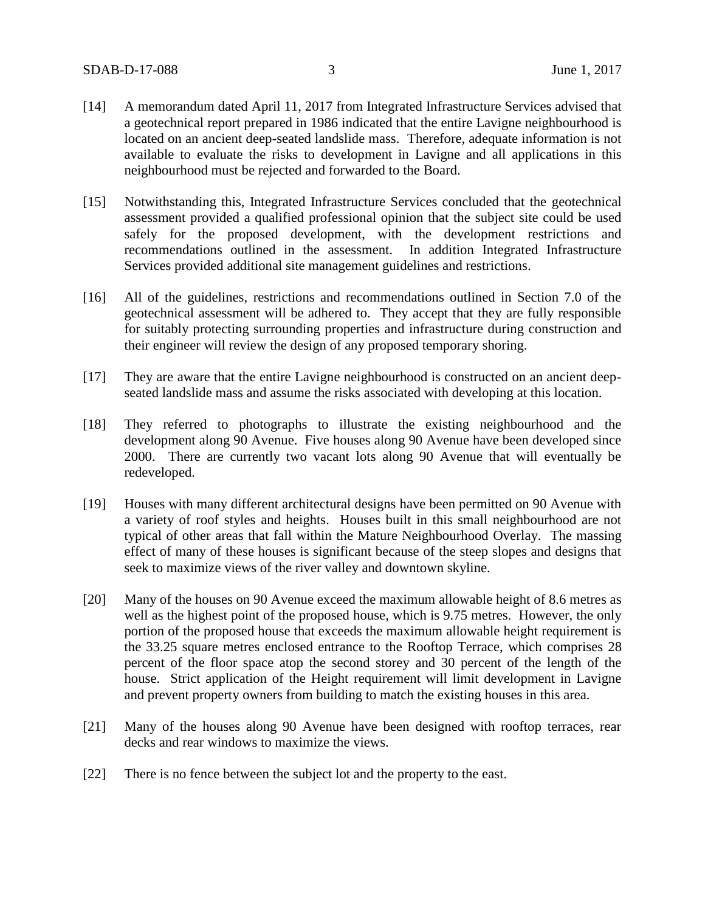- [14] A memorandum dated April 11, 2017 from Integrated Infrastructure Services advised that a geotechnical report prepared in 1986 indicated that the entire Lavigne neighbourhood is located on an ancient deep-seated landslide mass. Therefore, adequate information is not available to evaluate the risks to development in Lavigne and all applications in this neighbourhood must be rejected and forwarded to the Board.
- [15] Notwithstanding this, Integrated Infrastructure Services concluded that the geotechnical assessment provided a qualified professional opinion that the subject site could be used safely for the proposed development, with the development restrictions and recommendations outlined in the assessment. In addition Integrated Infrastructure Services provided additional site management guidelines and restrictions.
- [16] All of the guidelines, restrictions and recommendations outlined in Section 7.0 of the geotechnical assessment will be adhered to. They accept that they are fully responsible for suitably protecting surrounding properties and infrastructure during construction and their engineer will review the design of any proposed temporary shoring.
- [17] They are aware that the entire Lavigne neighbourhood is constructed on an ancient deepseated landslide mass and assume the risks associated with developing at this location.
- [18] They referred to photographs to illustrate the existing neighbourhood and the development along 90 Avenue. Five houses along 90 Avenue have been developed since 2000. There are currently two vacant lots along 90 Avenue that will eventually be redeveloped.
- [19] Houses with many different architectural designs have been permitted on 90 Avenue with a variety of roof styles and heights. Houses built in this small neighbourhood are not typical of other areas that fall within the Mature Neighbourhood Overlay. The massing effect of many of these houses is significant because of the steep slopes and designs that seek to maximize views of the river valley and downtown skyline.
- [20] Many of the houses on 90 Avenue exceed the maximum allowable height of 8.6 metres as well as the highest point of the proposed house, which is 9.75 metres. However, the only portion of the proposed house that exceeds the maximum allowable height requirement is the 33.25 square metres enclosed entrance to the Rooftop Terrace, which comprises 28 percent of the floor space atop the second storey and 30 percent of the length of the house. Strict application of the Height requirement will limit development in Lavigne and prevent property owners from building to match the existing houses in this area.
- [21] Many of the houses along 90 Avenue have been designed with rooftop terraces, rear decks and rear windows to maximize the views.
- [22] There is no fence between the subject lot and the property to the east.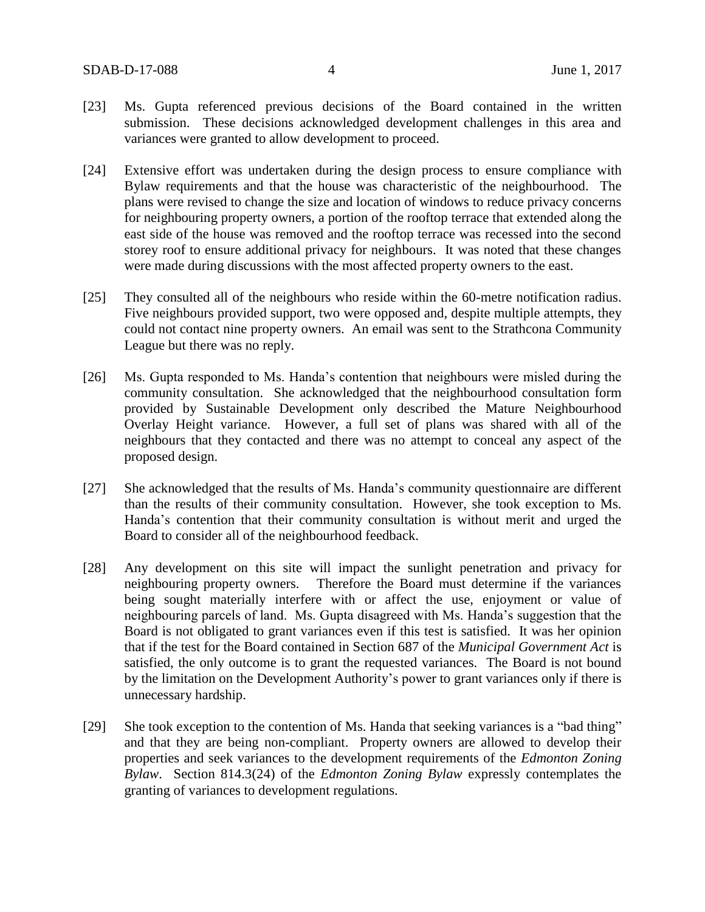- [23] Ms. Gupta referenced previous decisions of the Board contained in the written submission. These decisions acknowledged development challenges in this area and variances were granted to allow development to proceed.
- [24] Extensive effort was undertaken during the design process to ensure compliance with Bylaw requirements and that the house was characteristic of the neighbourhood. The plans were revised to change the size and location of windows to reduce privacy concerns for neighbouring property owners, a portion of the rooftop terrace that extended along the east side of the house was removed and the rooftop terrace was recessed into the second storey roof to ensure additional privacy for neighbours. It was noted that these changes were made during discussions with the most affected property owners to the east.
- [25] They consulted all of the neighbours who reside within the 60-metre notification radius. Five neighbours provided support, two were opposed and, despite multiple attempts, they could not contact nine property owners. An email was sent to the Strathcona Community League but there was no reply.
- [26] Ms. Gupta responded to Ms. Handa's contention that neighbours were misled during the community consultation. She acknowledged that the neighbourhood consultation form provided by Sustainable Development only described the Mature Neighbourhood Overlay Height variance. However, a full set of plans was shared with all of the neighbours that they contacted and there was no attempt to conceal any aspect of the proposed design.
- [27] She acknowledged that the results of Ms. Handa's community questionnaire are different than the results of their community consultation. However, she took exception to Ms. Handa's contention that their community consultation is without merit and urged the Board to consider all of the neighbourhood feedback.
- [28] Any development on this site will impact the sunlight penetration and privacy for neighbouring property owners. Therefore the Board must determine if the variances being sought materially interfere with or affect the use, enjoyment or value of neighbouring parcels of land. Ms. Gupta disagreed with Ms. Handa's suggestion that the Board is not obligated to grant variances even if this test is satisfied. It was her opinion that if the test for the Board contained in Section 687 of the *Municipal Government Act* is satisfied, the only outcome is to grant the requested variances. The Board is not bound by the limitation on the Development Authority's power to grant variances only if there is unnecessary hardship.
- [29] She took exception to the contention of Ms. Handa that seeking variances is a "bad thing" and that they are being non-compliant. Property owners are allowed to develop their properties and seek variances to the development requirements of the *Edmonton Zoning Bylaw*. Section 814.3(24) of the *Edmonton Zoning Bylaw* expressly contemplates the granting of variances to development regulations.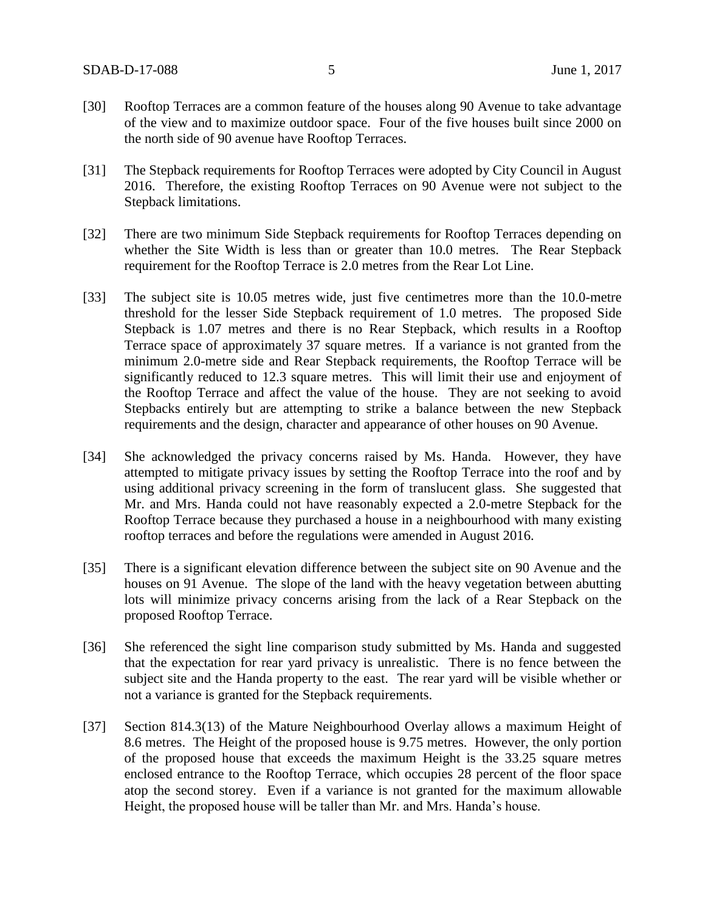- [30] Rooftop Terraces are a common feature of the houses along 90 Avenue to take advantage of the view and to maximize outdoor space. Four of the five houses built since 2000 on the north side of 90 avenue have Rooftop Terraces.
- [31] The Stepback requirements for Rooftop Terraces were adopted by City Council in August 2016. Therefore, the existing Rooftop Terraces on 90 Avenue were not subject to the Stepback limitations.
- [32] There are two minimum Side Stepback requirements for Rooftop Terraces depending on whether the Site Width is less than or greater than 10.0 metres. The Rear Stepback requirement for the Rooftop Terrace is 2.0 metres from the Rear Lot Line.
- [33] The subject site is 10.05 metres wide, just five centimetres more than the 10.0-metre threshold for the lesser Side Stepback requirement of 1.0 metres. The proposed Side Stepback is 1.07 metres and there is no Rear Stepback, which results in a Rooftop Terrace space of approximately 37 square metres. If a variance is not granted from the minimum 2.0-metre side and Rear Stepback requirements, the Rooftop Terrace will be significantly reduced to 12.3 square metres. This will limit their use and enjoyment of the Rooftop Terrace and affect the value of the house. They are not seeking to avoid Stepbacks entirely but are attempting to strike a balance between the new Stepback requirements and the design, character and appearance of other houses on 90 Avenue.
- [34] She acknowledged the privacy concerns raised by Ms. Handa. However, they have attempted to mitigate privacy issues by setting the Rooftop Terrace into the roof and by using additional privacy screening in the form of translucent glass. She suggested that Mr. and Mrs. Handa could not have reasonably expected a 2.0-metre Stepback for the Rooftop Terrace because they purchased a house in a neighbourhood with many existing rooftop terraces and before the regulations were amended in August 2016.
- [35] There is a significant elevation difference between the subject site on 90 Avenue and the houses on 91 Avenue. The slope of the land with the heavy vegetation between abutting lots will minimize privacy concerns arising from the lack of a Rear Stepback on the proposed Rooftop Terrace.
- [36] She referenced the sight line comparison study submitted by Ms. Handa and suggested that the expectation for rear yard privacy is unrealistic. There is no fence between the subject site and the Handa property to the east. The rear yard will be visible whether or not a variance is granted for the Stepback requirements.
- [37] Section 814.3(13) of the Mature Neighbourhood Overlay allows a maximum Height of 8.6 metres. The Height of the proposed house is 9.75 metres. However, the only portion of the proposed house that exceeds the maximum Height is the 33.25 square metres enclosed entrance to the Rooftop Terrace, which occupies 28 percent of the floor space atop the second storey. Even if a variance is not granted for the maximum allowable Height, the proposed house will be taller than Mr. and Mrs. Handa's house.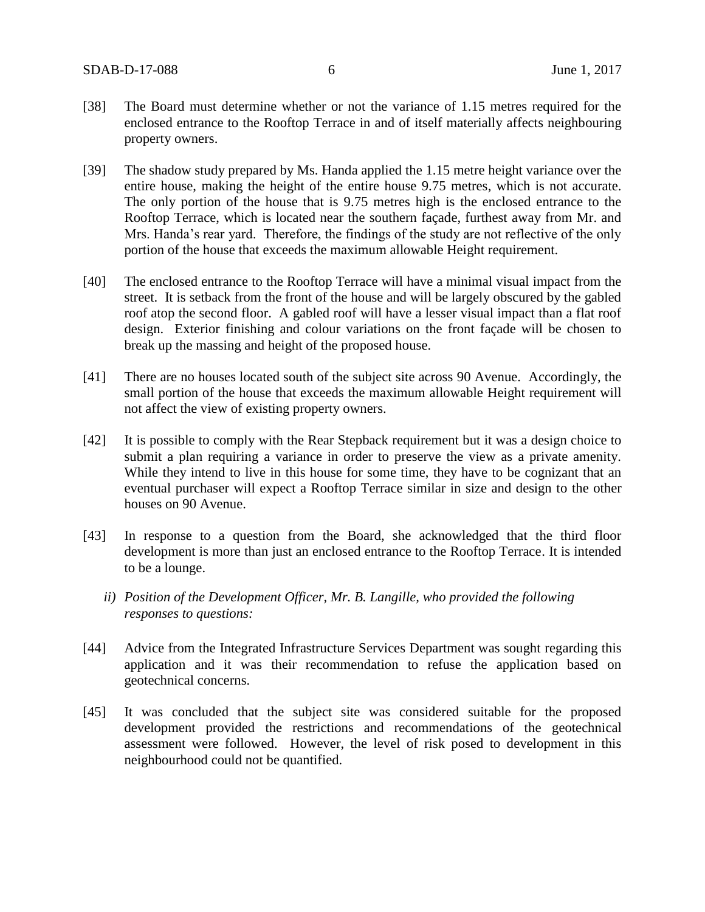- [38] The Board must determine whether or not the variance of 1.15 metres required for the enclosed entrance to the Rooftop Terrace in and of itself materially affects neighbouring property owners.
- [39] The shadow study prepared by Ms. Handa applied the 1.15 metre height variance over the entire house, making the height of the entire house 9.75 metres, which is not accurate. The only portion of the house that is 9.75 metres high is the enclosed entrance to the Rooftop Terrace, which is located near the southern façade, furthest away from Mr. and Mrs. Handa's rear yard. Therefore, the findings of the study are not reflective of the only portion of the house that exceeds the maximum allowable Height requirement.
- [40] The enclosed entrance to the Rooftop Terrace will have a minimal visual impact from the street. It is setback from the front of the house and will be largely obscured by the gabled roof atop the second floor. A gabled roof will have a lesser visual impact than a flat roof design. Exterior finishing and colour variations on the front façade will be chosen to break up the massing and height of the proposed house.
- [41] There are no houses located south of the subject site across 90 Avenue. Accordingly, the small portion of the house that exceeds the maximum allowable Height requirement will not affect the view of existing property owners.
- [42] It is possible to comply with the Rear Stepback requirement but it was a design choice to submit a plan requiring a variance in order to preserve the view as a private amenity. While they intend to live in this house for some time, they have to be cognizant that an eventual purchaser will expect a Rooftop Terrace similar in size and design to the other houses on 90 Avenue.
- [43] In response to a question from the Board, she acknowledged that the third floor development is more than just an enclosed entrance to the Rooftop Terrace. It is intended to be a lounge.
	- *ii) Position of the Development Officer, Mr. B. Langille, who provided the following responses to questions:*
- [44] Advice from the Integrated Infrastructure Services Department was sought regarding this application and it was their recommendation to refuse the application based on geotechnical concerns.
- [45] It was concluded that the subject site was considered suitable for the proposed development provided the restrictions and recommendations of the geotechnical assessment were followed. However, the level of risk posed to development in this neighbourhood could not be quantified.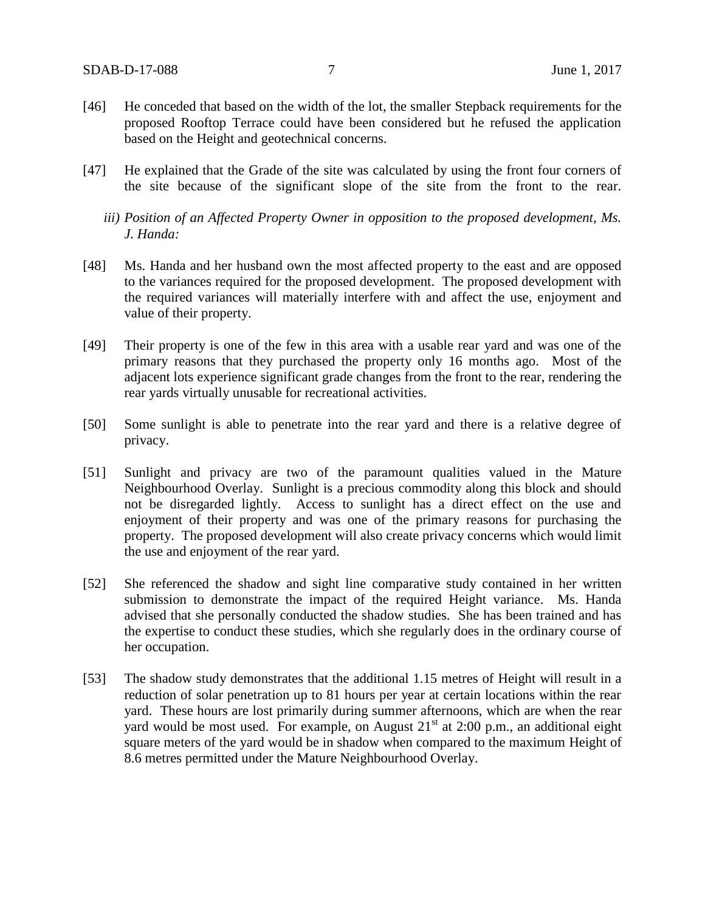- [46] He conceded that based on the width of the lot, the smaller Stepback requirements for the proposed Rooftop Terrace could have been considered but he refused the application based on the Height and geotechnical concerns.
- [47] He explained that the Grade of the site was calculated by using the front four corners of the site because of the significant slope of the site from the front to the rear.
	- *iii) Position of an Affected Property Owner in opposition to the proposed development, Ms. J. Handa:*
- [48] Ms. Handa and her husband own the most affected property to the east and are opposed to the variances required for the proposed development. The proposed development with the required variances will materially interfere with and affect the use, enjoyment and value of their property.
- [49] Their property is one of the few in this area with a usable rear yard and was one of the primary reasons that they purchased the property only 16 months ago. Most of the adjacent lots experience significant grade changes from the front to the rear, rendering the rear yards virtually unusable for recreational activities.
- [50] Some sunlight is able to penetrate into the rear yard and there is a relative degree of privacy.
- [51] Sunlight and privacy are two of the paramount qualities valued in the Mature Neighbourhood Overlay. Sunlight is a precious commodity along this block and should not be disregarded lightly. Access to sunlight has a direct effect on the use and enjoyment of their property and was one of the primary reasons for purchasing the property. The proposed development will also create privacy concerns which would limit the use and enjoyment of the rear yard.
- [52] She referenced the shadow and sight line comparative study contained in her written submission to demonstrate the impact of the required Height variance. Ms. Handa advised that she personally conducted the shadow studies. She has been trained and has the expertise to conduct these studies, which she regularly does in the ordinary course of her occupation.
- [53] The shadow study demonstrates that the additional 1.15 metres of Height will result in a reduction of solar penetration up to 81 hours per year at certain locations within the rear yard. These hours are lost primarily during summer afternoons, which are when the rear yard would be most used. For example, on August  $21<sup>st</sup>$  at 2:00 p.m., an additional eight square meters of the yard would be in shadow when compared to the maximum Height of 8.6 metres permitted under the Mature Neighbourhood Overlay.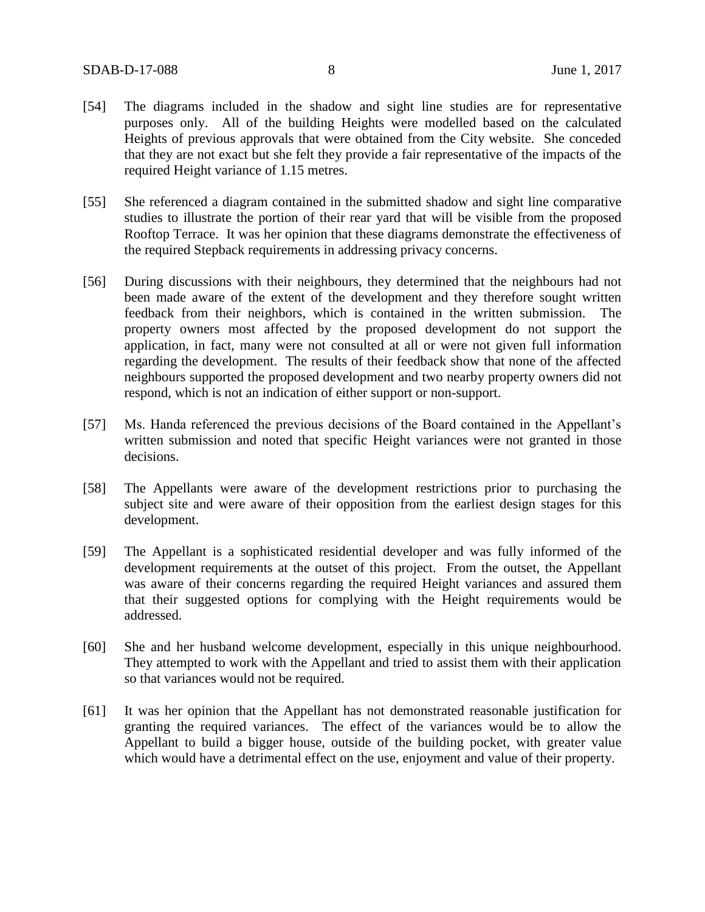- [54] The diagrams included in the shadow and sight line studies are for representative purposes only. All of the building Heights were modelled based on the calculated Heights of previous approvals that were obtained from the City website. She conceded that they are not exact but she felt they provide a fair representative of the impacts of the required Height variance of 1.15 metres.
- [55] She referenced a diagram contained in the submitted shadow and sight line comparative studies to illustrate the portion of their rear yard that will be visible from the proposed Rooftop Terrace. It was her opinion that these diagrams demonstrate the effectiveness of the required Stepback requirements in addressing privacy concerns.
- [56] During discussions with their neighbours, they determined that the neighbours had not been made aware of the extent of the development and they therefore sought written feedback from their neighbors, which is contained in the written submission. The property owners most affected by the proposed development do not support the application, in fact, many were not consulted at all or were not given full information regarding the development. The results of their feedback show that none of the affected neighbours supported the proposed development and two nearby property owners did not respond, which is not an indication of either support or non-support.
- [57] Ms. Handa referenced the previous decisions of the Board contained in the Appellant's written submission and noted that specific Height variances were not granted in those decisions.
- [58] The Appellants were aware of the development restrictions prior to purchasing the subject site and were aware of their opposition from the earliest design stages for this development.
- [59] The Appellant is a sophisticated residential developer and was fully informed of the development requirements at the outset of this project. From the outset, the Appellant was aware of their concerns regarding the required Height variances and assured them that their suggested options for complying with the Height requirements would be addressed.
- [60] She and her husband welcome development, especially in this unique neighbourhood. They attempted to work with the Appellant and tried to assist them with their application so that variances would not be required.
- [61] It was her opinion that the Appellant has not demonstrated reasonable justification for granting the required variances. The effect of the variances would be to allow the Appellant to build a bigger house, outside of the building pocket, with greater value which would have a detrimental effect on the use, enjoyment and value of their property.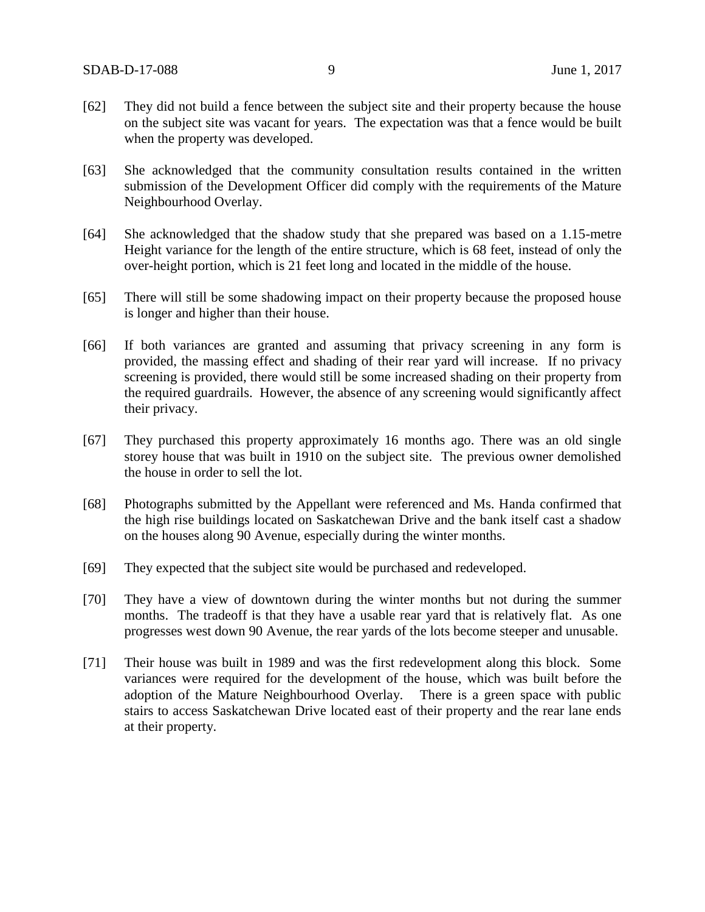- [62] They did not build a fence between the subject site and their property because the house on the subject site was vacant for years. The expectation was that a fence would be built when the property was developed.
- [63] She acknowledged that the community consultation results contained in the written submission of the Development Officer did comply with the requirements of the Mature Neighbourhood Overlay.
- [64] She acknowledged that the shadow study that she prepared was based on a 1.15-metre Height variance for the length of the entire structure, which is 68 feet, instead of only the over-height portion, which is 21 feet long and located in the middle of the house.
- [65] There will still be some shadowing impact on their property because the proposed house is longer and higher than their house.
- [66] If both variances are granted and assuming that privacy screening in any form is provided, the massing effect and shading of their rear yard will increase. If no privacy screening is provided, there would still be some increased shading on their property from the required guardrails. However, the absence of any screening would significantly affect their privacy.
- [67] They purchased this property approximately 16 months ago. There was an old single storey house that was built in 1910 on the subject site. The previous owner demolished the house in order to sell the lot.
- [68] Photographs submitted by the Appellant were referenced and Ms. Handa confirmed that the high rise buildings located on Saskatchewan Drive and the bank itself cast a shadow on the houses along 90 Avenue, especially during the winter months.
- [69] They expected that the subject site would be purchased and redeveloped.
- [70] They have a view of downtown during the winter months but not during the summer months. The tradeoff is that they have a usable rear yard that is relatively flat. As one progresses west down 90 Avenue, the rear yards of the lots become steeper and unusable.
- [71] Their house was built in 1989 and was the first redevelopment along this block. Some variances were required for the development of the house, which was built before the adoption of the Mature Neighbourhood Overlay. There is a green space with public stairs to access Saskatchewan Drive located east of their property and the rear lane ends at their property.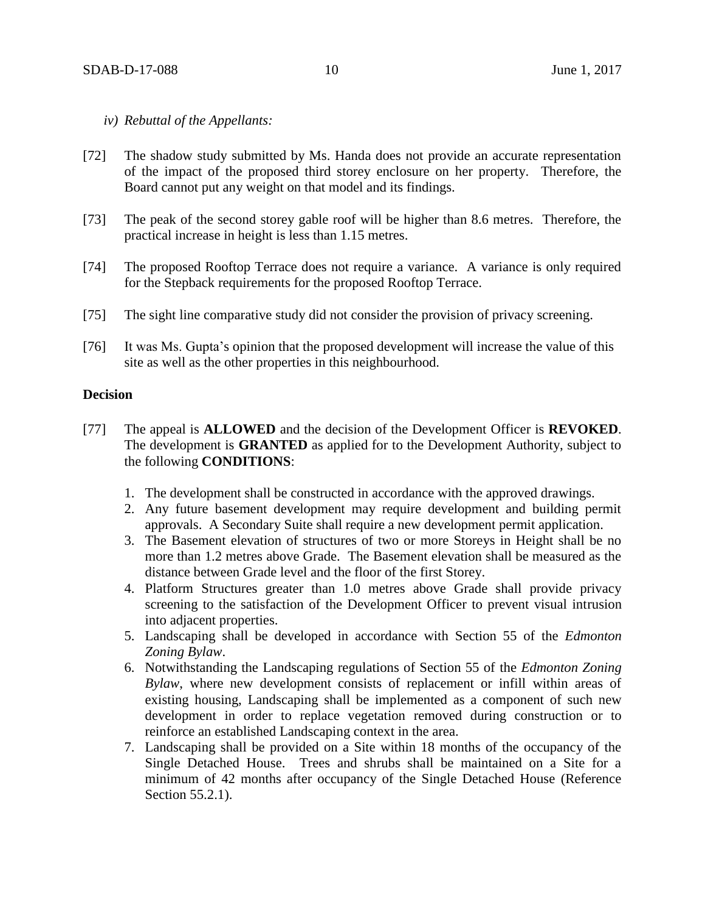### *iv) Rebuttal of the Appellants:*

- [72] The shadow study submitted by Ms. Handa does not provide an accurate representation of the impact of the proposed third storey enclosure on her property. Therefore, the Board cannot put any weight on that model and its findings.
- [73] The peak of the second storey gable roof will be higher than 8.6 metres. Therefore, the practical increase in height is less than 1.15 metres.
- [74] The proposed Rooftop Terrace does not require a variance. A variance is only required for the Stepback requirements for the proposed Rooftop Terrace.
- [75] The sight line comparative study did not consider the provision of privacy screening.
- [76] It was Ms. Gupta's opinion that the proposed development will increase the value of this site as well as the other properties in this neighbourhood.

### **Decision**

- [77] The appeal is **ALLOWED** and the decision of the Development Officer is **REVOKED**. The development is **GRANTED** as applied for to the Development Authority, subject to the following **CONDITIONS**:
	- 1. The development shall be constructed in accordance with the approved drawings.
	- 2. Any future basement development may require development and building permit approvals. A Secondary Suite shall require a new development permit application.
	- 3. The Basement elevation of structures of two or more Storeys in Height shall be no more than 1.2 metres above Grade. The Basement elevation shall be measured as the distance between Grade level and the floor of the first Storey.
	- 4. Platform Structures greater than 1.0 metres above Grade shall provide privacy screening to the satisfaction of the Development Officer to prevent visual intrusion into adjacent properties.
	- 5. Landscaping shall be developed in accordance with Section 55 of the *Edmonton Zoning Bylaw*.
	- 6. Notwithstanding the Landscaping regulations of Section 55 of the *Edmonton Zoning Bylaw*, where new development consists of replacement or infill within areas of existing housing, Landscaping shall be implemented as a component of such new development in order to replace vegetation removed during construction or to reinforce an established Landscaping context in the area.
	- 7. Landscaping shall be provided on a Site within 18 months of the occupancy of the Single Detached House. Trees and shrubs shall be maintained on a Site for a minimum of 42 months after occupancy of the Single Detached House (Reference Section 55.2.1).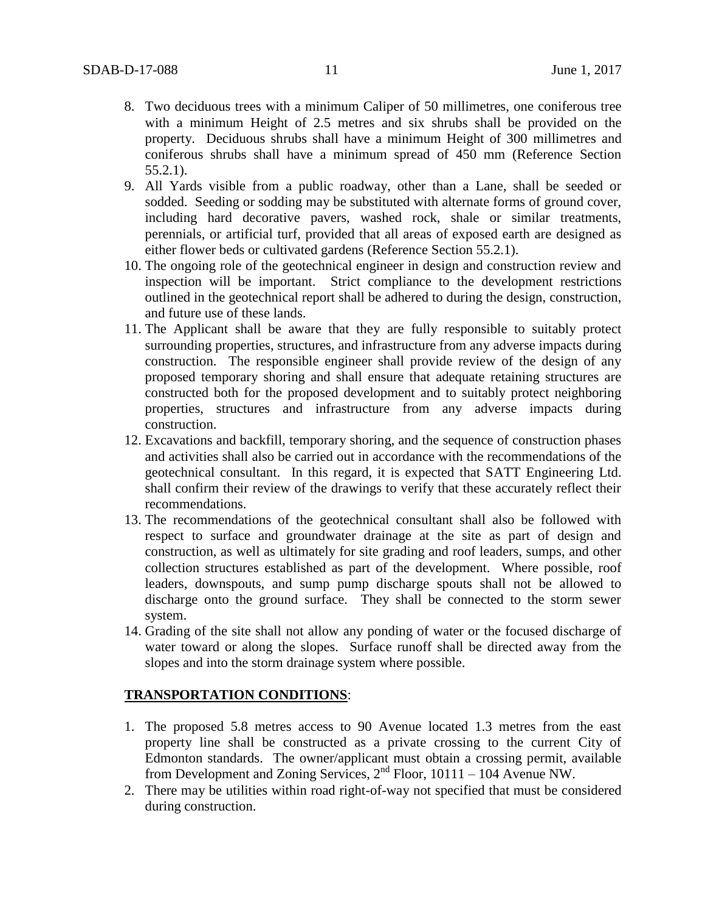- 8. Two deciduous trees with a minimum Caliper of 50 millimetres, one coniferous tree with a minimum Height of 2.5 metres and six shrubs shall be provided on the property. Deciduous shrubs shall have a minimum Height of 300 millimetres and coniferous shrubs shall have a minimum spread of 450 mm (Reference Section 55.2.1).
- 9. All Yards visible from a public roadway, other than a Lane, shall be seeded or sodded. Seeding or sodding may be substituted with alternate forms of ground cover, including hard decorative pavers, washed rock, shale or similar treatments, perennials, or artificial turf, provided that all areas of exposed earth are designed as either flower beds or cultivated gardens (Reference Section 55.2.1).
- 10. The ongoing role of the geotechnical engineer in design and construction review and inspection will be important. Strict compliance to the development restrictions outlined in the geotechnical report shall be adhered to during the design, construction, and future use of these lands.
- 11. The Applicant shall be aware that they are fully responsible to suitably protect surrounding properties, structures, and infrastructure from any adverse impacts during construction. The responsible engineer shall provide review of the design of any proposed temporary shoring and shall ensure that adequate retaining structures are constructed both for the proposed development and to suitably protect neighboring properties, structures and infrastructure from any adverse impacts during construction.
- 12. Excavations and backfill, temporary shoring, and the sequence of construction phases and activities shall also be carried out in accordance with the recommendations of the geotechnical consultant. In this regard, it is expected that SATT Engineering Ltd. shall confirm their review of the drawings to verify that these accurately reflect their recommendations.
- 13. The recommendations of the geotechnical consultant shall also be followed with respect to surface and groundwater drainage at the site as part of design and construction, as well as ultimately for site grading and roof leaders, sumps, and other collection structures established as part of the development. Where possible, roof leaders, downspouts, and sump pump discharge spouts shall not be allowed to discharge onto the ground surface. They shall be connected to the storm sewer system.
- 14. Grading of the site shall not allow any ponding of water or the focused discharge of water toward or along the slopes. Surface runoff shall be directed away from the slopes and into the storm drainage system where possible.

## **TRANSPORTATION CONDITIONS**:

- 1. The proposed 5.8 metres access to 90 Avenue located 1.3 metres from the east property line shall be constructed as a private crossing to the current City of Edmonton standards. The owner/applicant must obtain a crossing permit, available from Development and Zoning Services,  $2<sup>nd</sup>$  Floor, 10111 – 104 Avenue NW.
- 2. There may be utilities within road right-of-way not specified that must be considered during construction.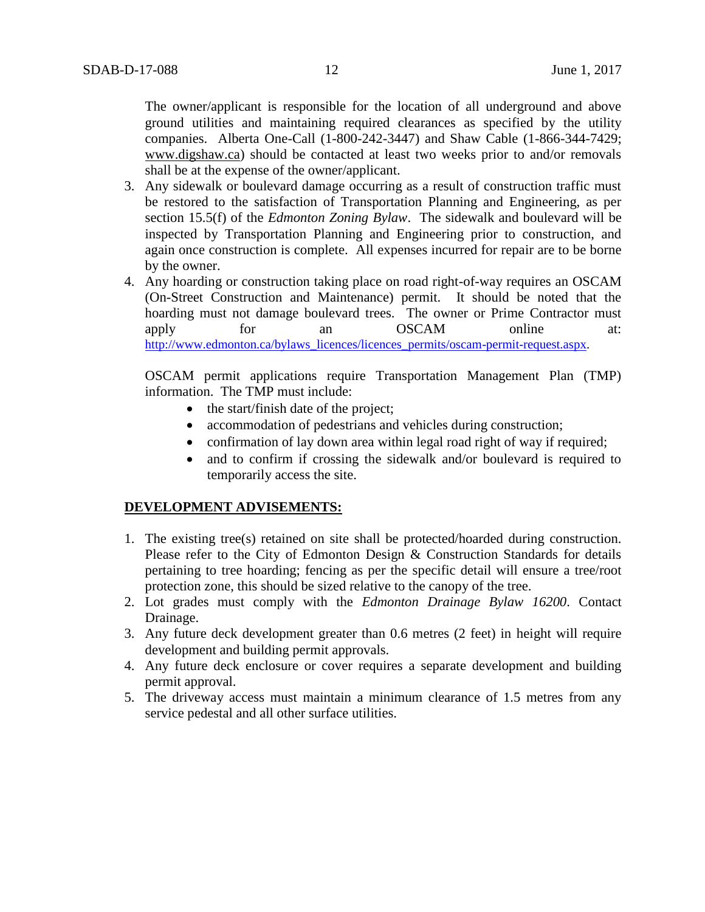The owner/applicant is responsible for the location of all underground and above ground utilities and maintaining required clearances as specified by the utility companies. Alberta One-Call (1-800-242-3447) and Shaw Cable (1-866-344-7429; [www.digshaw.ca\)](http://www.digshaw.ca/) should be contacted at least two weeks prior to and/or removals shall be at the expense of the owner/applicant.

- 3. Any sidewalk or boulevard damage occurring as a result of construction traffic must be restored to the satisfaction of Transportation Planning and Engineering, as per section 15.5(f) of the *Edmonton Zoning Bylaw*. The sidewalk and boulevard will be inspected by Transportation Planning and Engineering prior to construction, and again once construction is complete. All expenses incurred for repair are to be borne by the owner.
- 4. Any hoarding or construction taking place on road right-of-way requires an OSCAM (On-Street Construction and Maintenance) permit. It should be noted that the hoarding must not damage boulevard trees. The owner or Prime Contractor must apply for an OSCAM online at: [http://www.edmonton.ca/bylaws\\_licences/licences\\_permits/oscam-permit-request.aspx.](http://www.edmonton.ca/bylaws_licences/licences_permits/oscam-permit-request.aspx)

OSCAM permit applications require Transportation Management Plan (TMP) information. The TMP must include:

- the start/finish date of the project;
- accommodation of pedestrians and vehicles during construction;
- confirmation of lay down area within legal road right of way if required;
- and to confirm if crossing the sidewalk and/or boulevard is required to temporarily access the site.

## **DEVELOPMENT ADVISEMENTS:**

- 1. The existing tree(s) retained on site shall be protected/hoarded during construction. Please refer to the City of Edmonton Design & Construction Standards for details pertaining to tree hoarding; fencing as per the specific detail will ensure a tree/root protection zone, this should be sized relative to the canopy of the tree.
- 2. Lot grades must comply with the *Edmonton Drainage Bylaw 16200*. Contact Drainage.
- 3. Any future deck development greater than 0.6 metres (2 feet) in height will require development and building permit approvals.
- 4. Any future deck enclosure or cover requires a separate development and building permit approval.
- 5. The driveway access must maintain a minimum clearance of 1.5 metres from any service pedestal and all other surface utilities.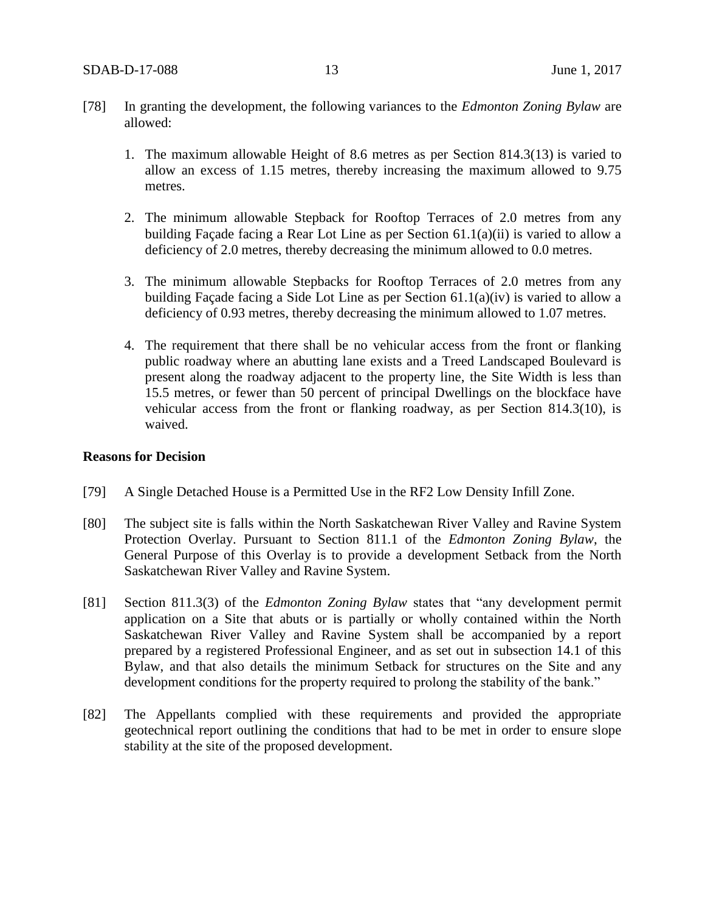- [78] In granting the development, the following variances to the *Edmonton Zoning Bylaw* are allowed:
	- 1. The maximum allowable Height of 8.6 metres as per Section 814.3(13) is varied to allow an excess of 1.15 metres, thereby increasing the maximum allowed to 9.75 metres.
	- 2. The minimum allowable Stepback for Rooftop Terraces of 2.0 metres from any building Façade facing a Rear Lot Line as per Section 61.1(a)(ii) is varied to allow a deficiency of 2.0 metres, thereby decreasing the minimum allowed to 0.0 metres.
	- 3. The minimum allowable Stepbacks for Rooftop Terraces of 2.0 metres from any building Façade facing a Side Lot Line as per Section 61.1(a)(iv) is varied to allow a deficiency of 0.93 metres, thereby decreasing the minimum allowed to 1.07 metres.
	- 4. The requirement that there shall be no vehicular access from the front or flanking public roadway where an abutting lane exists and a Treed Landscaped Boulevard is present along the roadway adjacent to the property line, the Site Width is less than 15.5 metres, or fewer than 50 percent of principal Dwellings on the blockface have vehicular access from the front or flanking roadway, as per Section 814.3(10), is waived.

## **Reasons for Decision**

- [79] A Single Detached House is a Permitted Use in the RF2 Low Density Infill Zone.
- [80] The subject site is falls within the North Saskatchewan River Valley and Ravine System Protection Overlay. Pursuant to Section 811.1 of the *Edmonton Zoning Bylaw*, the General Purpose of this Overlay is to provide a development Setback from the North Saskatchewan River Valley and Ravine System.
- [81] Section 811.3(3) of the *Edmonton Zoning Bylaw* states that "any development permit application on a Site that abuts or is partially or wholly contained within the North Saskatchewan River Valley and Ravine System shall be accompanied by a report prepared by a registered Professional Engineer, and as set out in subsection 14.1 of this Bylaw, and that also details the minimum Setback for structures on the Site and any development conditions for the property required to prolong the stability of the bank."
- [82] The Appellants complied with these requirements and provided the appropriate geotechnical report outlining the conditions that had to be met in order to ensure slope stability at the site of the proposed development.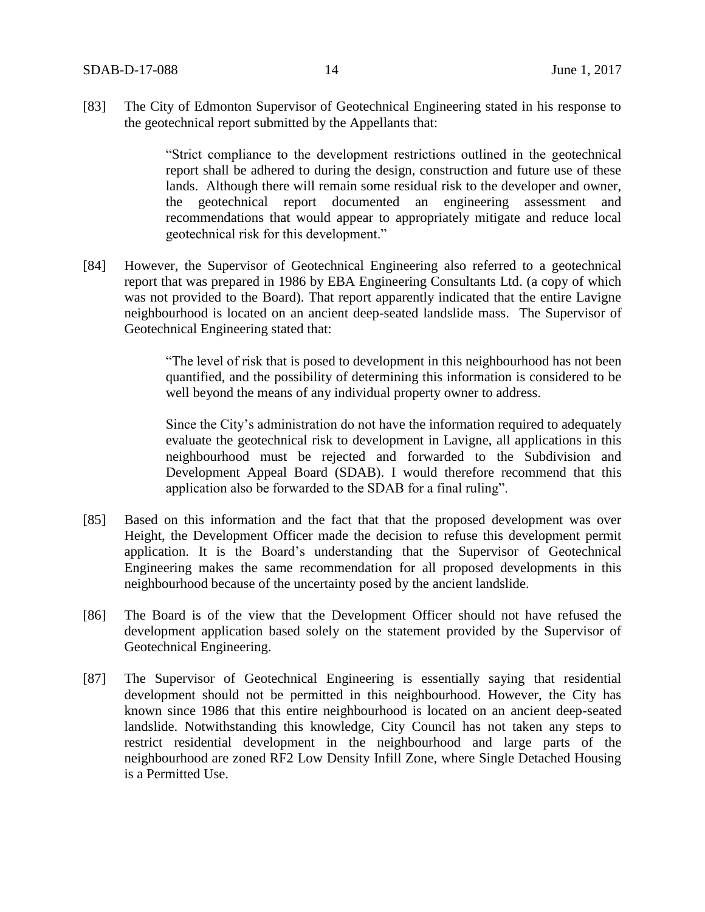[83] The City of Edmonton Supervisor of Geotechnical Engineering stated in his response to the geotechnical report submitted by the Appellants that:

> "Strict compliance to the development restrictions outlined in the geotechnical report shall be adhered to during the design, construction and future use of these lands. Although there will remain some residual risk to the developer and owner, the geotechnical report documented an engineering assessment and recommendations that would appear to appropriately mitigate and reduce local geotechnical risk for this development."

[84] However, the Supervisor of Geotechnical Engineering also referred to a geotechnical report that was prepared in 1986 by EBA Engineering Consultants Ltd. (a copy of which was not provided to the Board). That report apparently indicated that the entire Lavigne neighbourhood is located on an ancient deep-seated landslide mass. The Supervisor of Geotechnical Engineering stated that:

> "The level of risk that is posed to development in this neighbourhood has not been quantified, and the possibility of determining this information is considered to be well beyond the means of any individual property owner to address.

> Since the City's administration do not have the information required to adequately evaluate the geotechnical risk to development in Lavigne, all applications in this neighbourhood must be rejected and forwarded to the Subdivision and Development Appeal Board (SDAB). I would therefore recommend that this application also be forwarded to the SDAB for a final ruling".

- [85] Based on this information and the fact that that the proposed development was over Height, the Development Officer made the decision to refuse this development permit application. It is the Board's understanding that the Supervisor of Geotechnical Engineering makes the same recommendation for all proposed developments in this neighbourhood because of the uncertainty posed by the ancient landslide.
- [86] The Board is of the view that the Development Officer should not have refused the development application based solely on the statement provided by the Supervisor of Geotechnical Engineering.
- [87] The Supervisor of Geotechnical Engineering is essentially saying that residential development should not be permitted in this neighbourhood. However, the City has known since 1986 that this entire neighbourhood is located on an ancient deep-seated landslide. Notwithstanding this knowledge, City Council has not taken any steps to restrict residential development in the neighbourhood and large parts of the neighbourhood are zoned RF2 Low Density Infill Zone, where Single Detached Housing is a Permitted Use.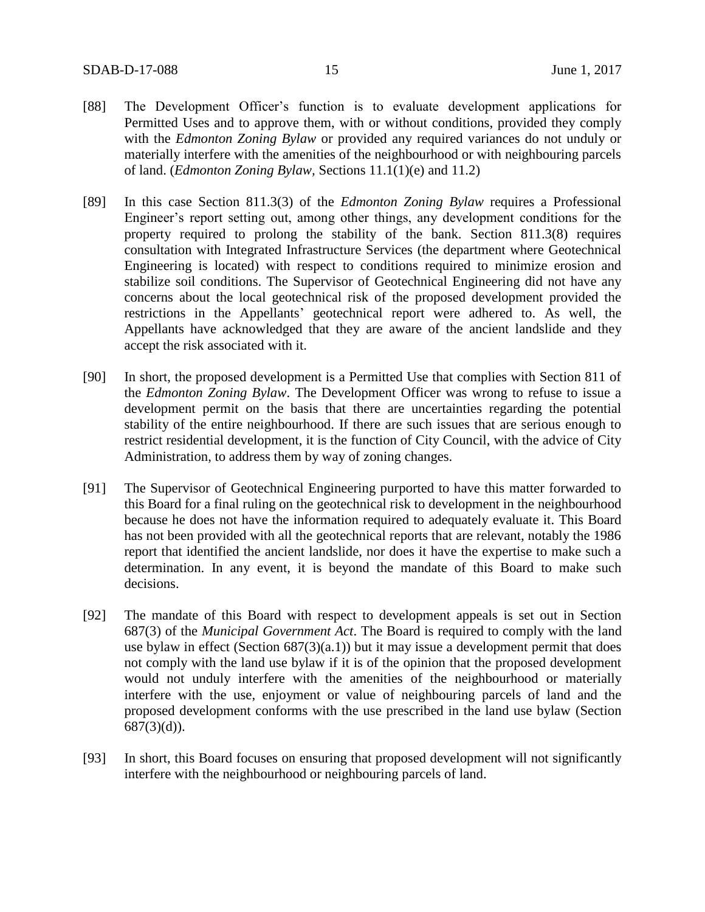- [88] The Development Officer's function is to evaluate development applications for Permitted Uses and to approve them, with or without conditions, provided they comply with the *Edmonton Zoning Bylaw* or provided any required variances do not unduly or materially interfere with the amenities of the neighbourhood or with neighbouring parcels of land. (*Edmonton Zoning Bylaw,* Sections 11.1(1)(e) and 11.2)
- [89] In this case Section 811.3(3) of the *Edmonton Zoning Bylaw* requires a Professional Engineer's report setting out, among other things, any development conditions for the property required to prolong the stability of the bank. Section 811.3(8) requires consultation with Integrated Infrastructure Services (the department where Geotechnical Engineering is located) with respect to conditions required to minimize erosion and stabilize soil conditions. The Supervisor of Geotechnical Engineering did not have any concerns about the local geotechnical risk of the proposed development provided the restrictions in the Appellants' geotechnical report were adhered to. As well, the Appellants have acknowledged that they are aware of the ancient landslide and they accept the risk associated with it.
- [90] In short, the proposed development is a Permitted Use that complies with Section 811 of the *Edmonton Zoning Bylaw*. The Development Officer was wrong to refuse to issue a development permit on the basis that there are uncertainties regarding the potential stability of the entire neighbourhood. If there are such issues that are serious enough to restrict residential development, it is the function of City Council, with the advice of City Administration, to address them by way of zoning changes.
- [91] The Supervisor of Geotechnical Engineering purported to have this matter forwarded to this Board for a final ruling on the geotechnical risk to development in the neighbourhood because he does not have the information required to adequately evaluate it. This Board has not been provided with all the geotechnical reports that are relevant, notably the 1986 report that identified the ancient landslide, nor does it have the expertise to make such a determination. In any event, it is beyond the mandate of this Board to make such decisions.
- [92] The mandate of this Board with respect to development appeals is set out in Section 687(3) of the *Municipal Government Act*. The Board is required to comply with the land use bylaw in effect (Section  $687(3)(a.1)$ ) but it may issue a development permit that does not comply with the land use bylaw if it is of the opinion that the proposed development would not unduly interfere with the amenities of the neighbourhood or materially interfere with the use, enjoyment or value of neighbouring parcels of land and the proposed development conforms with the use prescribed in the land use bylaw (Section  $687(3)(d)$ ).
- [93] In short, this Board focuses on ensuring that proposed development will not significantly interfere with the neighbourhood or neighbouring parcels of land.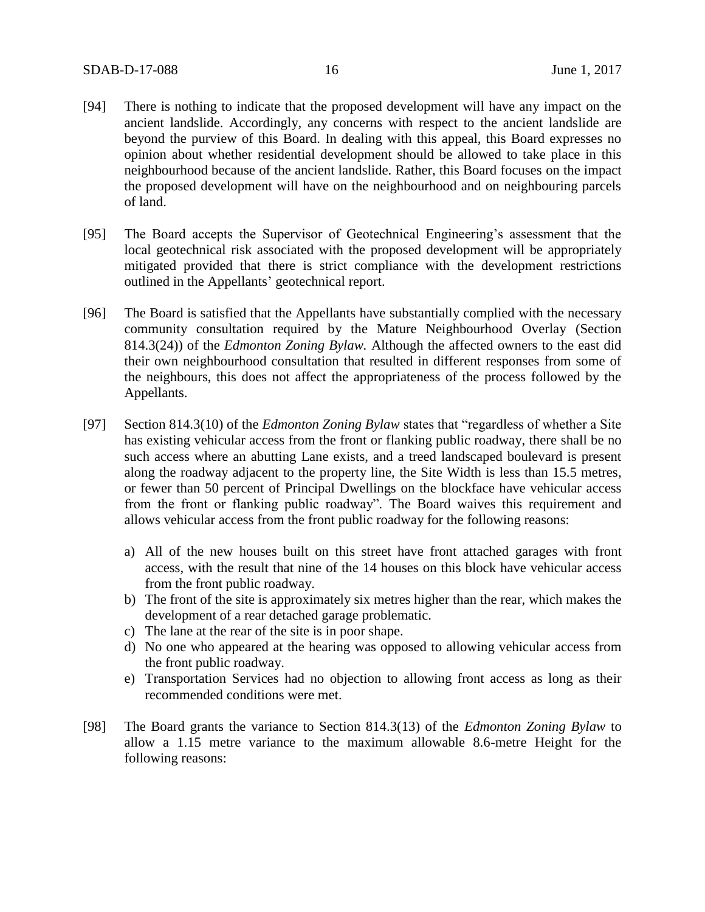- [94] There is nothing to indicate that the proposed development will have any impact on the ancient landslide. Accordingly, any concerns with respect to the ancient landslide are beyond the purview of this Board. In dealing with this appeal, this Board expresses no opinion about whether residential development should be allowed to take place in this neighbourhood because of the ancient landslide. Rather, this Board focuses on the impact the proposed development will have on the neighbourhood and on neighbouring parcels of land.
- [95] The Board accepts the Supervisor of Geotechnical Engineering's assessment that the local geotechnical risk associated with the proposed development will be appropriately mitigated provided that there is strict compliance with the development restrictions outlined in the Appellants' geotechnical report.
- [96] The Board is satisfied that the Appellants have substantially complied with the necessary community consultation required by the Mature Neighbourhood Overlay (Section 814.3(24)) of the *Edmonton Zoning Bylaw.* Although the affected owners to the east did their own neighbourhood consultation that resulted in different responses from some of the neighbours, this does not affect the appropriateness of the process followed by the Appellants.
- [97] Section 814.3(10) of the *Edmonton Zoning Bylaw* states that "regardless of whether a Site has existing vehicular access from the front or flanking public roadway, there shall be no such access where an abutting Lane exists, and a treed landscaped boulevard is present along the roadway adjacent to the property line, the Site Width is less than 15.5 metres, or fewer than 50 percent of Principal Dwellings on the blockface have vehicular access from the front or flanking public roadway". The Board waives this requirement and allows vehicular access from the front public roadway for the following reasons:
	- a) All of the new houses built on this street have front attached garages with front access, with the result that nine of the 14 houses on this block have vehicular access from the front public roadway.
	- b) The front of the site is approximately six metres higher than the rear, which makes the development of a rear detached garage problematic.
	- c) The lane at the rear of the site is in poor shape.
	- d) No one who appeared at the hearing was opposed to allowing vehicular access from the front public roadway.
	- e) Transportation Services had no objection to allowing front access as long as their recommended conditions were met.
- [98] The Board grants the variance to Section 814.3(13) of the *Edmonton Zoning Bylaw* to allow a 1.15 metre variance to the maximum allowable 8.6-metre Height for the following reasons: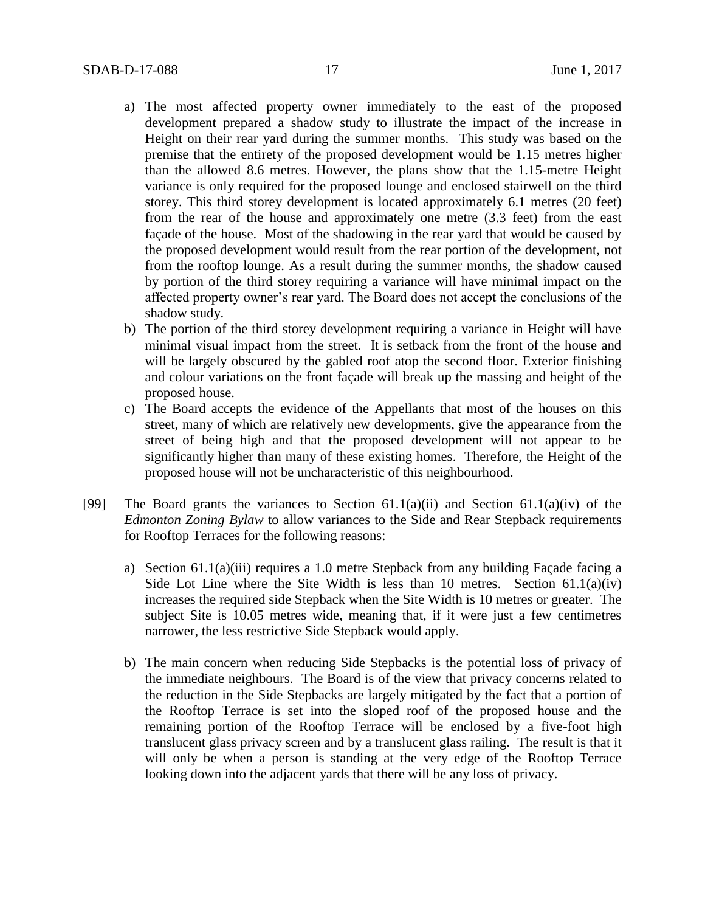- a) The most affected property owner immediately to the east of the proposed development prepared a shadow study to illustrate the impact of the increase in Height on their rear yard during the summer months. This study was based on the premise that the entirety of the proposed development would be 1.15 metres higher than the allowed 8.6 metres. However, the plans show that the 1.15-metre Height variance is only required for the proposed lounge and enclosed stairwell on the third storey. This third storey development is located approximately 6.1 metres (20 feet) from the rear of the house and approximately one metre (3.3 feet) from the east façade of the house. Most of the shadowing in the rear yard that would be caused by the proposed development would result from the rear portion of the development, not from the rooftop lounge. As a result during the summer months, the shadow caused by portion of the third storey requiring a variance will have minimal impact on the affected property owner's rear yard. The Board does not accept the conclusions of the shadow study.
- b) The portion of the third storey development requiring a variance in Height will have minimal visual impact from the street. It is setback from the front of the house and will be largely obscured by the gabled roof atop the second floor. Exterior finishing and colour variations on the front façade will break up the massing and height of the proposed house.
- c) The Board accepts the evidence of the Appellants that most of the houses on this street, many of which are relatively new developments, give the appearance from the street of being high and that the proposed development will not appear to be significantly higher than many of these existing homes. Therefore, the Height of the proposed house will not be uncharacteristic of this neighbourhood.
- [99] The Board grants the variances to Section  $61.1(a)(ii)$  and Section  $61.1(a)(iv)$  of the *Edmonton Zoning Bylaw* to allow variances to the Side and Rear Stepback requirements for Rooftop Terraces for the following reasons:
	- a) Section 61.1(a)(iii) requires a 1.0 metre Stepback from any building Façade facing a Side Lot Line where the Site Width is less than 10 metres. Section  $61.1(a)(iv)$ increases the required side Stepback when the Site Width is 10 metres or greater. The subject Site is 10.05 metres wide, meaning that, if it were just a few centimetres narrower, the less restrictive Side Stepback would apply.
	- b) The main concern when reducing Side Stepbacks is the potential loss of privacy of the immediate neighbours. The Board is of the view that privacy concerns related to the reduction in the Side Stepbacks are largely mitigated by the fact that a portion of the Rooftop Terrace is set into the sloped roof of the proposed house and the remaining portion of the Rooftop Terrace will be enclosed by a five-foot high translucent glass privacy screen and by a translucent glass railing. The result is that it will only be when a person is standing at the very edge of the Rooftop Terrace looking down into the adjacent yards that there will be any loss of privacy.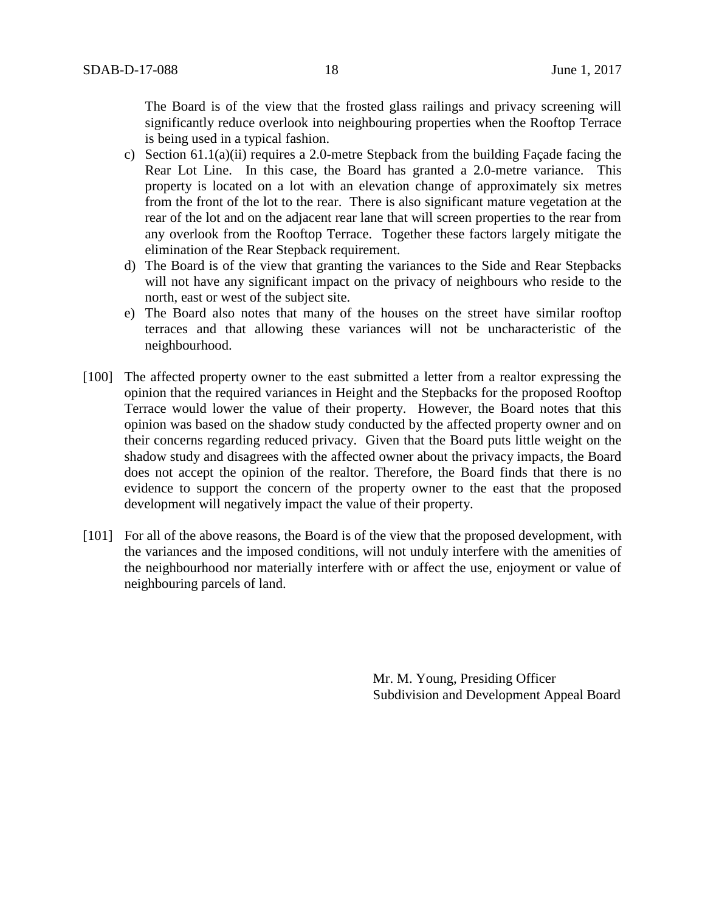The Board is of the view that the frosted glass railings and privacy screening will significantly reduce overlook into neighbouring properties when the Rooftop Terrace is being used in a typical fashion.

- c) Section 61.1(a)(ii) requires a 2.0-metre Stepback from the building Façade facing the Rear Lot Line. In this case, the Board has granted a 2.0-metre variance. This property is located on a lot with an elevation change of approximately six metres from the front of the lot to the rear. There is also significant mature vegetation at the rear of the lot and on the adjacent rear lane that will screen properties to the rear from any overlook from the Rooftop Terrace. Together these factors largely mitigate the elimination of the Rear Stepback requirement.
- d) The Board is of the view that granting the variances to the Side and Rear Stepbacks will not have any significant impact on the privacy of neighbours who reside to the north, east or west of the subject site.
- e) The Board also notes that many of the houses on the street have similar rooftop terraces and that allowing these variances will not be uncharacteristic of the neighbourhood.
- [100] The affected property owner to the east submitted a letter from a realtor expressing the opinion that the required variances in Height and the Stepbacks for the proposed Rooftop Terrace would lower the value of their property. However, the Board notes that this opinion was based on the shadow study conducted by the affected property owner and on their concerns regarding reduced privacy. Given that the Board puts little weight on the shadow study and disagrees with the affected owner about the privacy impacts, the Board does not accept the opinion of the realtor. Therefore, the Board finds that there is no evidence to support the concern of the property owner to the east that the proposed development will negatively impact the value of their property.
- [101] For all of the above reasons, the Board is of the view that the proposed development, with the variances and the imposed conditions, will not unduly interfere with the amenities of the neighbourhood nor materially interfere with or affect the use, enjoyment or value of neighbouring parcels of land.

Mr. M. Young, Presiding Officer Subdivision and Development Appeal Board